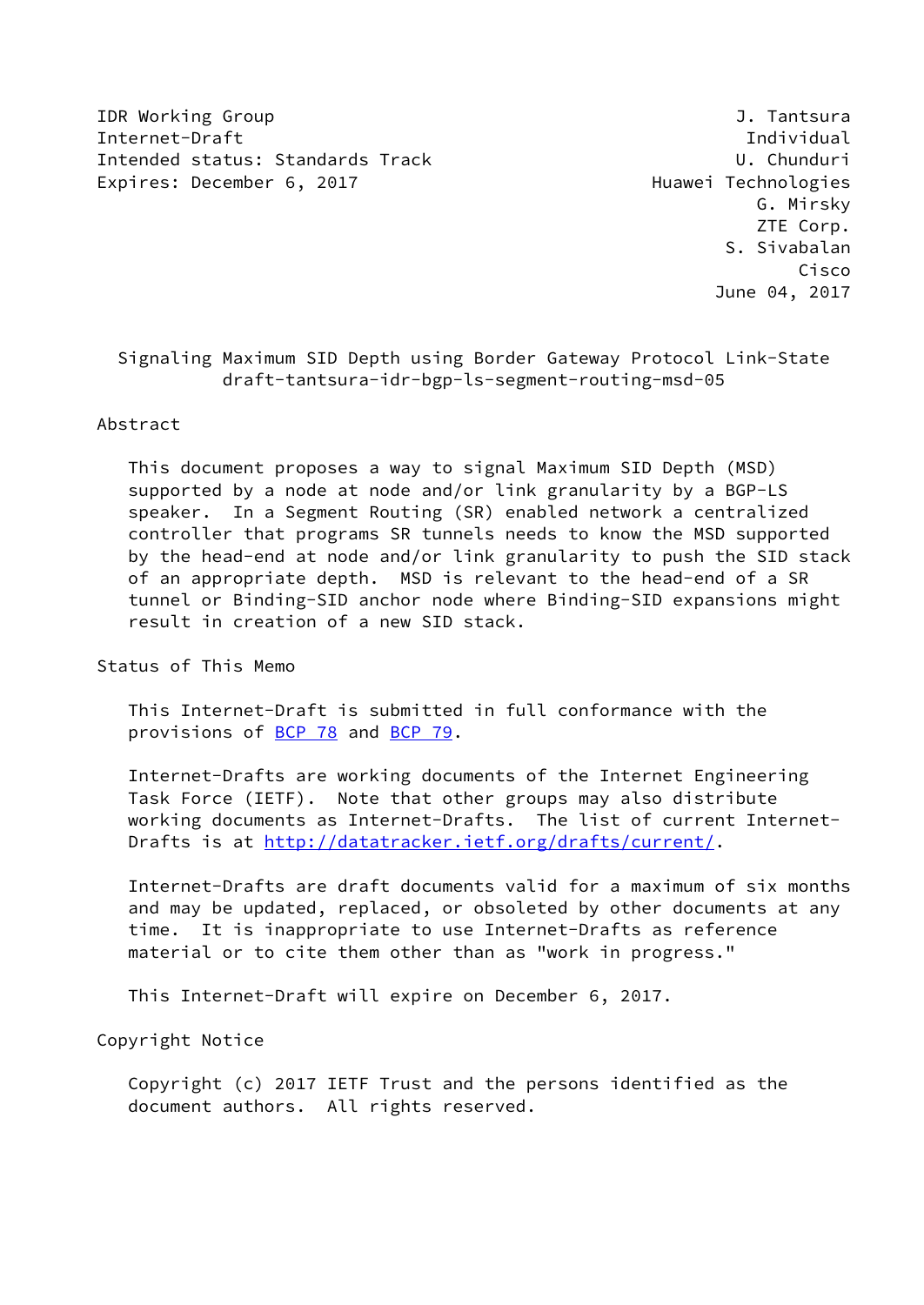IDR Working Group **J. Tantsura** J. Tantsura Internet-Draft Individual Intended status: Standards Track U. Chunduri Expires: December 6, 2017 and the controller expires: December 6, 2017

 G. Mirsky ZTE Corp. S. Sivabalan Cisco June 04, 2017

 Signaling Maximum SID Depth using Border Gateway Protocol Link-State draft-tantsura-idr-bgp-ls-segment-routing-msd-05

#### Abstract

 This document proposes a way to signal Maximum SID Depth (MSD) supported by a node at node and/or link granularity by a BGP-LS speaker. In a Segment Routing (SR) enabled network a centralized controller that programs SR tunnels needs to know the MSD supported by the head-end at node and/or link granularity to push the SID stack of an appropriate depth. MSD is relevant to the head-end of a SR tunnel or Binding-SID anchor node where Binding-SID expansions might result in creation of a new SID stack.

Status of This Memo

 This Internet-Draft is submitted in full conformance with the provisions of [BCP 78](https://datatracker.ietf.org/doc/pdf/bcp78) and [BCP 79](https://datatracker.ietf.org/doc/pdf/bcp79).

 Internet-Drafts are working documents of the Internet Engineering Task Force (IETF). Note that other groups may also distribute working documents as Internet-Drafts. The list of current Internet Drafts is at<http://datatracker.ietf.org/drafts/current/>.

 Internet-Drafts are draft documents valid for a maximum of six months and may be updated, replaced, or obsoleted by other documents at any time. It is inappropriate to use Internet-Drafts as reference material or to cite them other than as "work in progress."

This Internet-Draft will expire on December 6, 2017.

Copyright Notice

 Copyright (c) 2017 IETF Trust and the persons identified as the document authors. All rights reserved.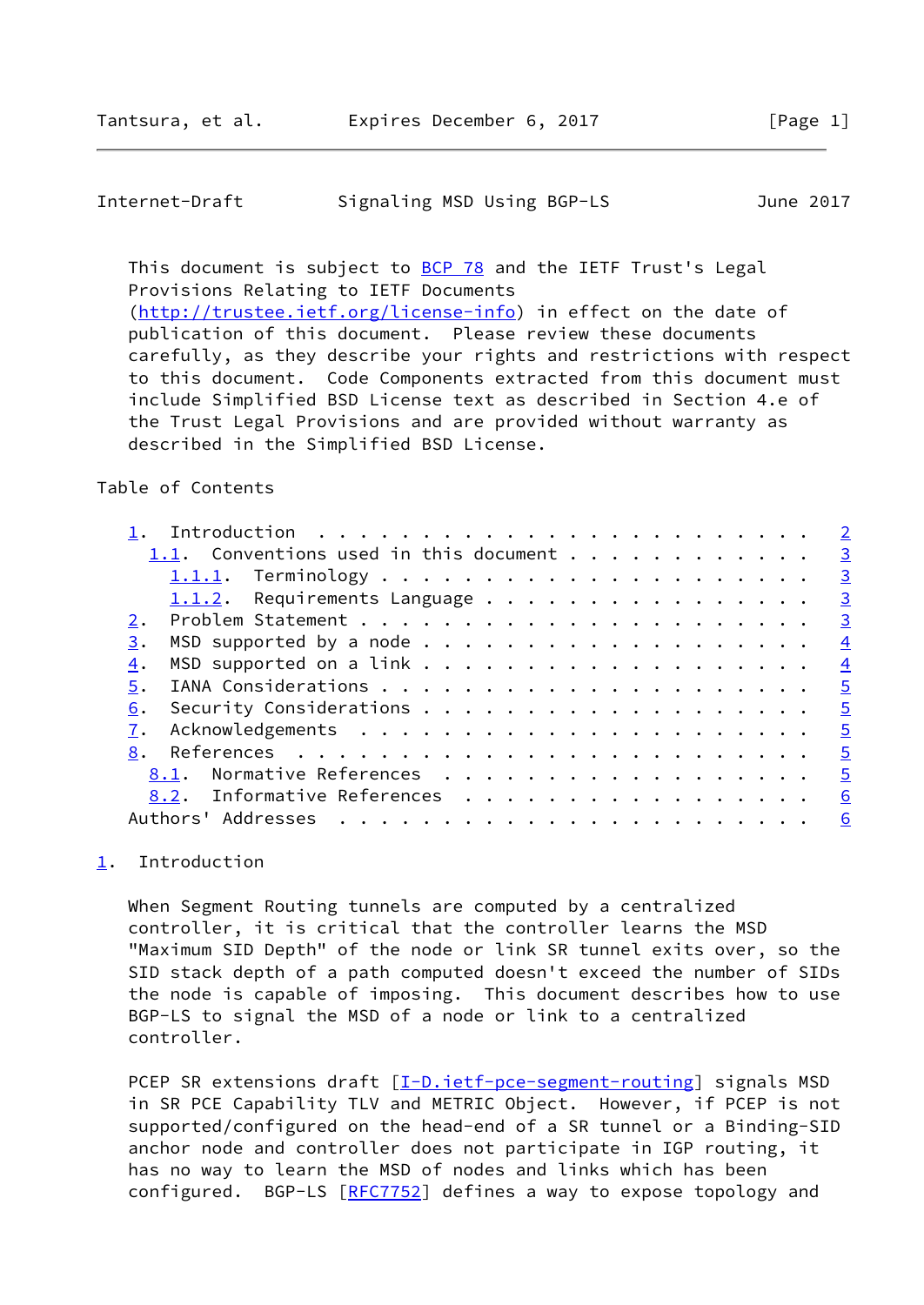described in the Simplified BSD License.

## <span id="page-1-1"></span>Internet-Draft Signaling MSD Using BGP-LS June 2017

This document is subject to [BCP 78](https://datatracker.ietf.org/doc/pdf/bcp78) and the IETF Trust's Legal Provisions Relating to IETF Documents [\(http://trustee.ietf.org/license-info](http://trustee.ietf.org/license-info)) in effect on the date of publication of this document. Please review these documents carefully, as they describe your rights and restrictions with respect to this document. Code Components extracted from this document must include Simplified BSD License text as described in Section 4.e of

the Trust Legal Provisions and are provided without warranty as

## Table of Contents

|    |                                        |                                                                                                                                                                                                                                                                                                                                                                                                                                                                                       |  |  |  |  |  |  |  |  |  | $\overline{2}$          |
|----|----------------------------------------|---------------------------------------------------------------------------------------------------------------------------------------------------------------------------------------------------------------------------------------------------------------------------------------------------------------------------------------------------------------------------------------------------------------------------------------------------------------------------------------|--|--|--|--|--|--|--|--|--|-------------------------|
|    | 1.1. Conventions used in this document |                                                                                                                                                                                                                                                                                                                                                                                                                                                                                       |  |  |  |  |  |  |  |  |  | $\overline{\mathbf{3}}$ |
|    |                                        |                                                                                                                                                                                                                                                                                                                                                                                                                                                                                       |  |  |  |  |  |  |  |  |  | $\frac{3}{2}$           |
|    | $1.1.2$ . Requirements Language        |                                                                                                                                                                                                                                                                                                                                                                                                                                                                                       |  |  |  |  |  |  |  |  |  | $\frac{3}{2}$           |
| 2. |                                        |                                                                                                                                                                                                                                                                                                                                                                                                                                                                                       |  |  |  |  |  |  |  |  |  | $\overline{3}$          |
| 3. |                                        |                                                                                                                                                                                                                                                                                                                                                                                                                                                                                       |  |  |  |  |  |  |  |  |  | $\frac{4}{1}$           |
| 4. |                                        |                                                                                                                                                                                                                                                                                                                                                                                                                                                                                       |  |  |  |  |  |  |  |  |  | $\frac{4}{1}$           |
| 5. |                                        |                                                                                                                                                                                                                                                                                                                                                                                                                                                                                       |  |  |  |  |  |  |  |  |  | $\overline{5}$          |
| 6. |                                        |                                                                                                                                                                                                                                                                                                                                                                                                                                                                                       |  |  |  |  |  |  |  |  |  | $\frac{5}{2}$           |
|    |                                        |                                                                                                                                                                                                                                                                                                                                                                                                                                                                                       |  |  |  |  |  |  |  |  |  | $\frac{5}{2}$           |
| 8. |                                        |                                                                                                                                                                                                                                                                                                                                                                                                                                                                                       |  |  |  |  |  |  |  |  |  | $\overline{5}$          |
|    | 8.1.                                   | Normative References                                                                                                                                                                                                                                                                                                                                                                                                                                                                  |  |  |  |  |  |  |  |  |  | $\frac{5}{2}$           |
|    | 8.2. Informative References            |                                                                                                                                                                                                                                                                                                                                                                                                                                                                                       |  |  |  |  |  |  |  |  |  | 6                       |
|    | Authors' Addresses                     | $\mathbf{1} \quad \mathbf{1} \quad \mathbf{1} \quad \mathbf{1} \quad \mathbf{1} \quad \mathbf{1} \quad \mathbf{1} \quad \mathbf{1} \quad \mathbf{1} \quad \mathbf{1} \quad \mathbf{1} \quad \mathbf{1} \quad \mathbf{1} \quad \mathbf{1} \quad \mathbf{1} \quad \mathbf{1} \quad \mathbf{1} \quad \mathbf{1} \quad \mathbf{1} \quad \mathbf{1} \quad \mathbf{1} \quad \mathbf{1} \quad \mathbf{1} \quad \mathbf{1} \quad \mathbf{1} \quad \mathbf{1} \quad \mathbf{1} \quad \mathbf{$ |  |  |  |  |  |  |  |  |  | 6                       |
|    |                                        |                                                                                                                                                                                                                                                                                                                                                                                                                                                                                       |  |  |  |  |  |  |  |  |  |                         |

# <span id="page-1-0"></span>[1](#page-1-0). Introduction

 When Segment Routing tunnels are computed by a centralized controller, it is critical that the controller learns the MSD "Maximum SID Depth" of the node or link SR tunnel exits over, so the SID stack depth of a path computed doesn't exceed the number of SIDs the node is capable of imposing. This document describes how to use BGP-LS to signal the MSD of a node or link to a centralized controller.

PCEP SR extensions draft [\[I-D.ietf-pce-segment-routing](#page-5-3)] signals MSD in SR PCE Capability TLV and METRIC Object. However, if PCEP is not supported/configured on the head-end of a SR tunnel or a Binding-SID anchor node and controller does not participate in IGP routing, it has no way to learn the MSD of nodes and links which has been configured. BGP-LS [\[RFC7752](https://datatracker.ietf.org/doc/pdf/rfc7752)] defines a way to expose topology and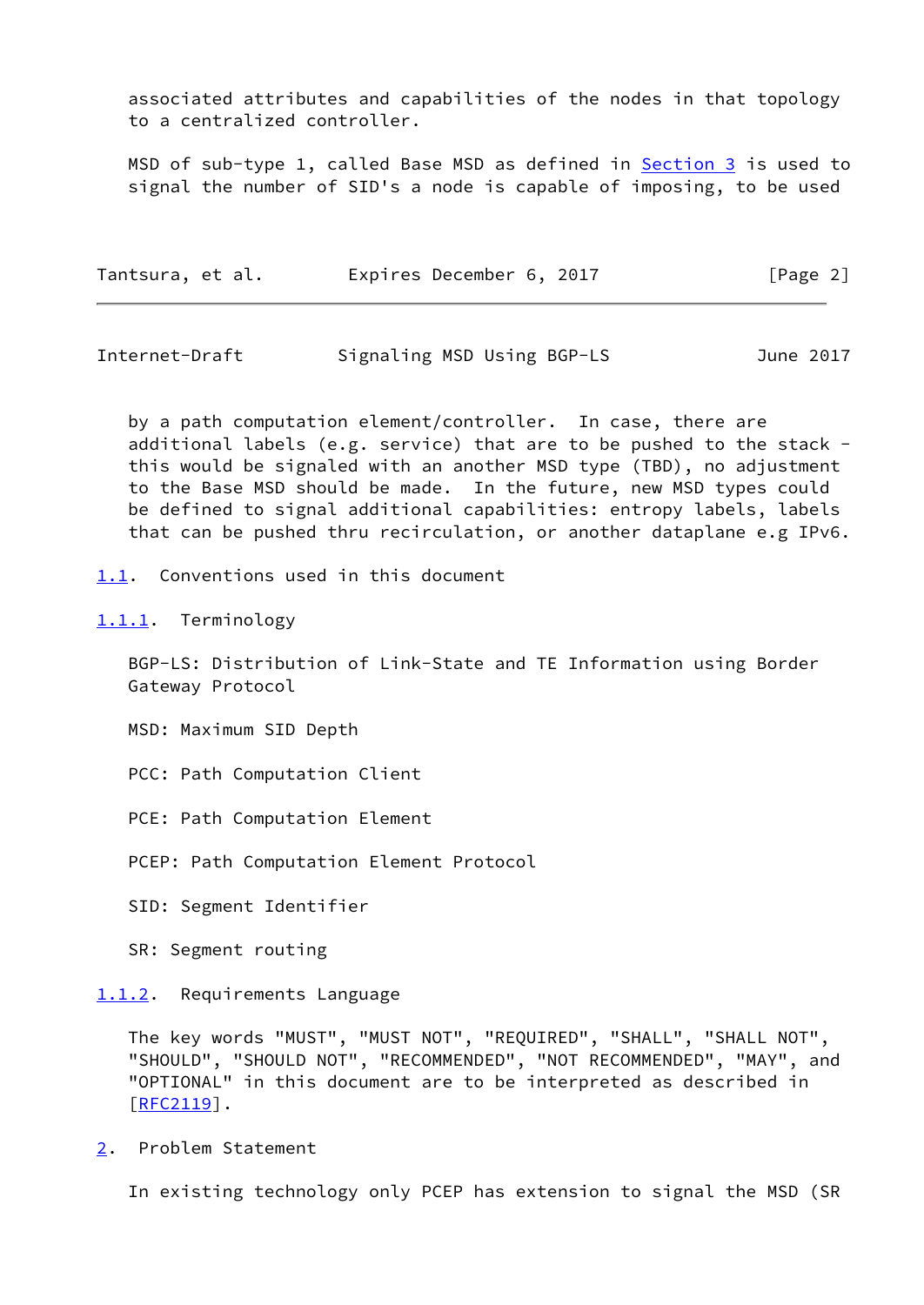associated attributes and capabilities of the nodes in that topology to a centralized controller.

MSD of sub-type 1, called Base MSD as defined in **Section 3** is used to signal the number of SID's a node is capable of imposing, to be used

| Tantsura, et al. | Expires December 6, 2017 |  | [Page 2] |
|------------------|--------------------------|--|----------|
|------------------|--------------------------|--|----------|

<span id="page-2-1"></span>Internet-Draft Signaling MSD Using BGP-LS June 2017

 by a path computation element/controller. In case, there are additional labels (e.g. service) that are to be pushed to the stack this would be signaled with an another MSD type (TBD), no adjustment to the Base MSD should be made. In the future, new MSD types could be defined to signal additional capabilities: entropy labels, labels that can be pushed thru recirculation, or another dataplane e.g IPv6.

<span id="page-2-0"></span>[1.1](#page-2-0). Conventions used in this document

<span id="page-2-2"></span>[1.1.1](#page-2-2). Terminology

 BGP-LS: Distribution of Link-State and TE Information using Border Gateway Protocol

MSD: Maximum SID Depth

PCC: Path Computation Client

PCE: Path Computation Element

PCEP: Path Computation Element Protocol

SID: Segment Identifier

SR: Segment routing

<span id="page-2-3"></span>[1.1.2](#page-2-3). Requirements Language

 The key words "MUST", "MUST NOT", "REQUIRED", "SHALL", "SHALL NOT", "SHOULD", "SHOULD NOT", "RECOMMENDED", "NOT RECOMMENDED", "MAY", and "OPTIONAL" in this document are to be interpreted as described in [\[RFC2119](https://datatracker.ietf.org/doc/pdf/rfc2119)].

<span id="page-2-4"></span>[2](#page-2-4). Problem Statement

In existing technology only PCEP has extension to signal the MSD (SR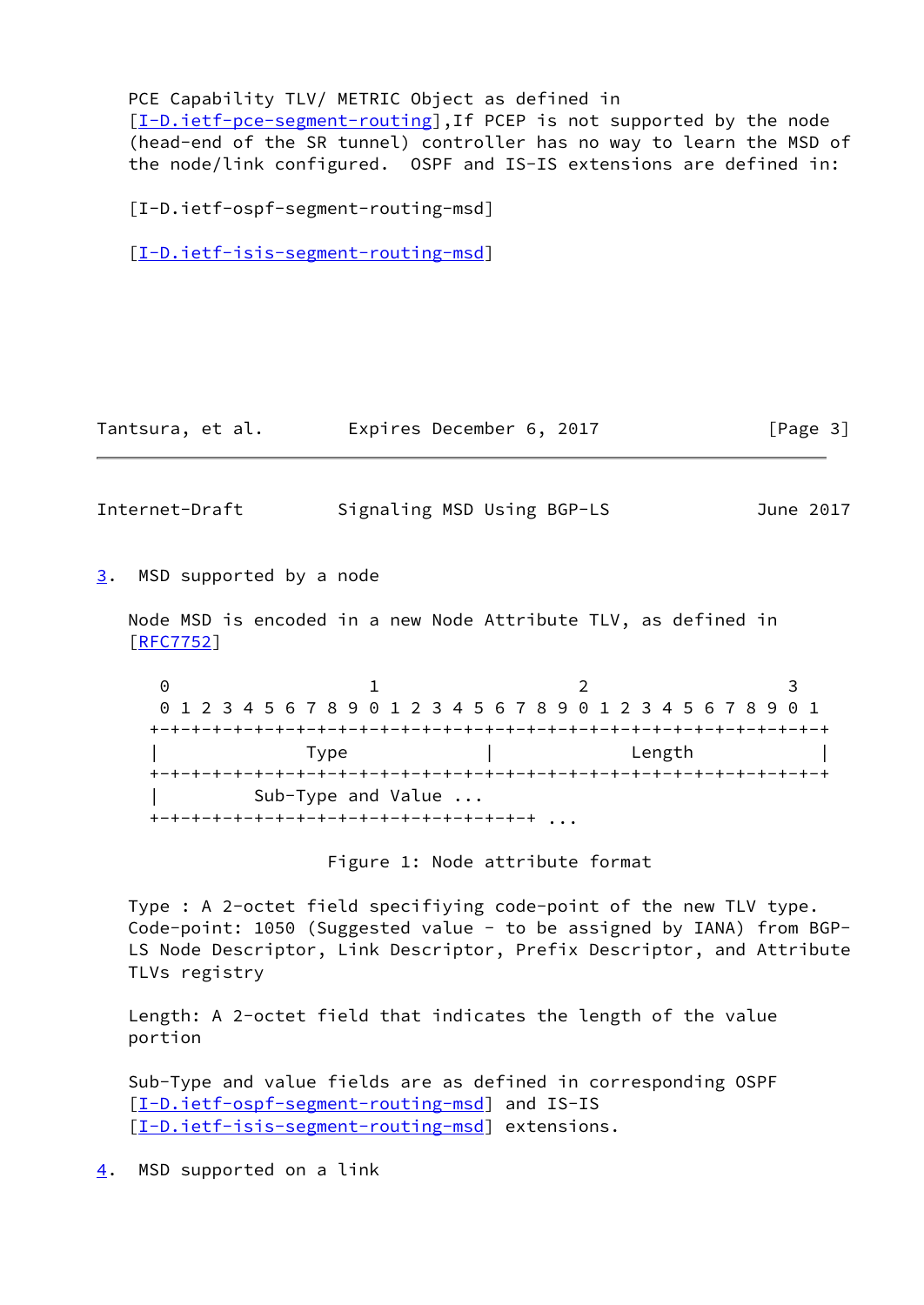PCE Capability TLV/ METRIC Object as defined in

[\[I-D.ietf-pce-segment-routing](#page-5-3)], If PCEP is not supported by the node (head-end of the SR tunnel) controller has no way to learn the MSD of the node/link configured. OSPF and IS-IS extensions are defined in:

<span id="page-3-3"></span>[I-D.ietf-ospf-segment-routing-msd]

[\[I-D.ietf-isis-segment-routing-msd](#page-5-4)]

|  | Tantsura, et al. | Expires December 6, 2017 |  | [Page 3] |
|--|------------------|--------------------------|--|----------|
|--|------------------|--------------------------|--|----------|

<span id="page-3-1"></span>Internet-Draft Signaling MSD Using BGP-LS June 2017

<span id="page-3-0"></span>[3](#page-3-0). MSD supported by a node

 Node MSD is encoded in a new Node Attribute TLV, as defined in [\[RFC7752](https://datatracker.ietf.org/doc/pdf/rfc7752)]

0 1 2 3 0 1 2 3 4 5 6 7 8 9 0 1 2 3 4 5 6 7 8 9 0 1 2 3 4 5 6 7 8 9 0 1 +-+-+-+-+-+-+-+-+-+-+-+-+-+-+-+-+-+-+-+-+-+-+-+-+-+-+-+-+-+-+-+-+ | Type | Length | | +-+-+-+-+-+-+-+-+-+-+-+-+-+-+-+-+-+-+-+-+-+-+-+-+-+-+-+-+-+-+-+-+ | Sub-Type and Value ... +-+-+-+-+-+-+-+-+-+-+-+-+-+-+-+-+-+-+ ...

Figure 1: Node attribute format

 Type : A 2-octet field specifiying code-point of the new TLV type. Code-point: 1050 (Suggested value - to be assigned by IANA) from BGP- LS Node Descriptor, Link Descriptor, Prefix Descriptor, and Attribute TLVs registry

 Length: A 2-octet field that indicates the length of the value portion

 Sub-Type and value fields are as defined in corresponding OSPF [\[I-D.ietf-ospf-segment-routing-msd](#page-3-3)] and IS-IS [\[I-D.ietf-isis-segment-routing-msd](#page-5-4)] extensions.

<span id="page-3-2"></span>[4](#page-3-2). MSD supported on a link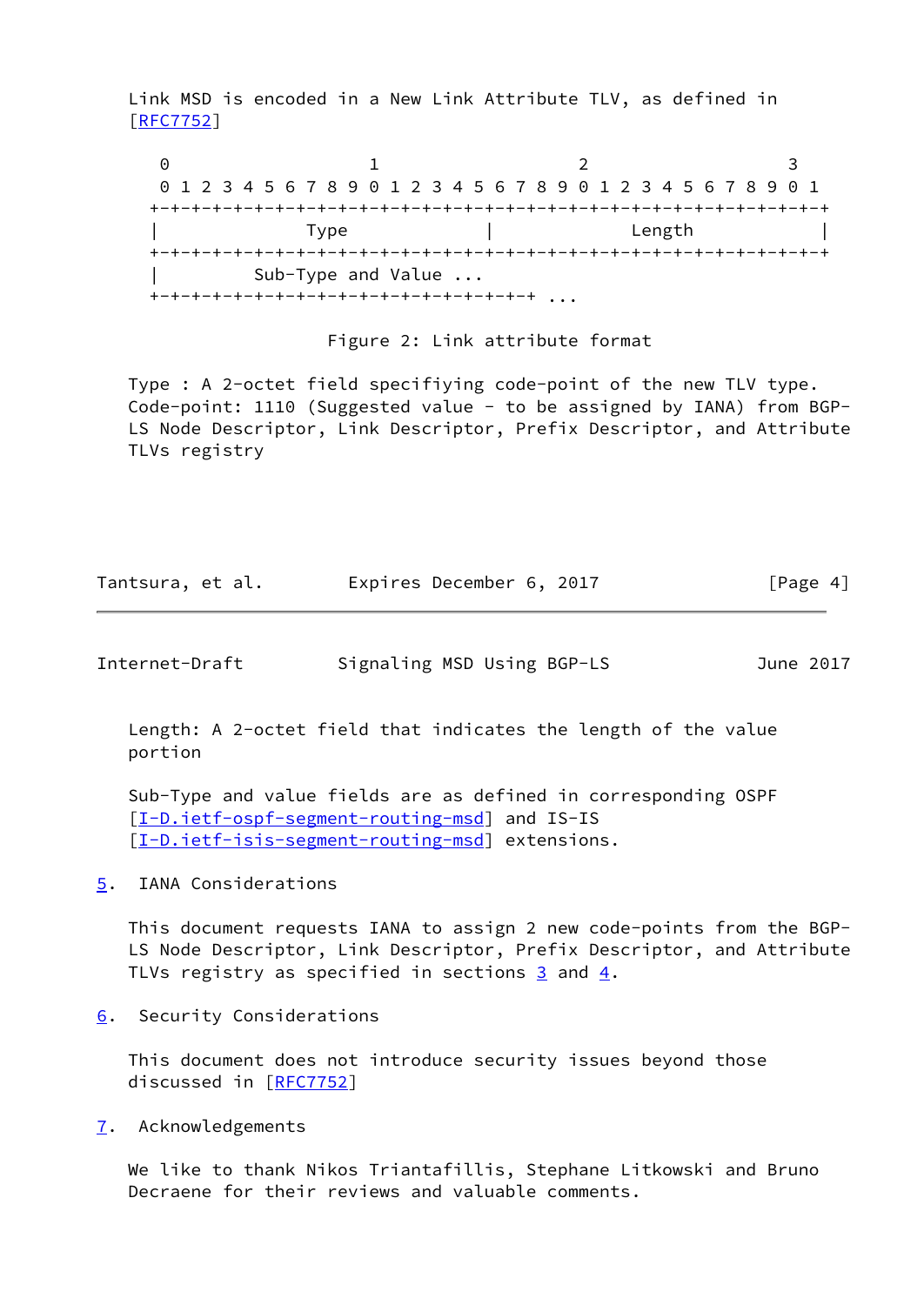Link MSD is encoded in a New Link Attribute TLV, as defined in [\[RFC7752](https://datatracker.ietf.org/doc/pdf/rfc7752)]

0 1 2 3 0 1 2 3 4 5 6 7 8 9 0 1 2 3 4 5 6 7 8 9 0 1 2 3 4 5 6 7 8 9 0 1 +-+-+-+-+-+-+-+-+-+-+-+-+-+-+-+-+-+-+-+-+-+-+-+-+-+-+-+-+-+-+-+-+ | Type | Length | +-+-+-+-+-+-+-+-+-+-+-+-+-+-+-+-+-+-+-+-+-+-+-+-+-+-+-+-+-+-+-+-+ | Sub-Type and Value ... +-+-+-+-+-+-+-+-+-+-+-+-+-+-+-+-+-+-+ ...

#### Figure 2: Link attribute format

 Type : A 2-octet field specifiying code-point of the new TLV type. Code-point: 1110 (Suggested value - to be assigned by IANA) from BGP- LS Node Descriptor, Link Descriptor, Prefix Descriptor, and Attribute TLVs registry

| Tantsura, et al. | Expires December 6, 2017 |  | [Page 4] |
|------------------|--------------------------|--|----------|
|------------------|--------------------------|--|----------|

<span id="page-4-1"></span>Internet-Draft Signaling MSD Using BGP-LS June 2017

 Length: A 2-octet field that indicates the length of the value portion

 Sub-Type and value fields are as defined in corresponding OSPF [\[I-D.ietf-ospf-segment-routing-msd](#page-3-3)] and IS-IS [\[I-D.ietf-isis-segment-routing-msd](#page-5-4)] extensions.

<span id="page-4-0"></span>[5](#page-4-0). IANA Considerations

 This document requests IANA to assign 2 new code-points from the BGP- LS Node Descriptor, Link Descriptor, Prefix Descriptor, and Attribute TLVs registry as specified in sections  $\frac{3}{2}$  and  $\frac{4}{2}$ .

<span id="page-4-2"></span>[6](#page-4-2). Security Considerations

 This document does not introduce security issues beyond those discussed in [\[RFC7752](https://datatracker.ietf.org/doc/pdf/rfc7752)]

<span id="page-4-3"></span>[7](#page-4-3). Acknowledgements

 We like to thank Nikos Triantafillis, Stephane Litkowski and Bruno Decraene for their reviews and valuable comments.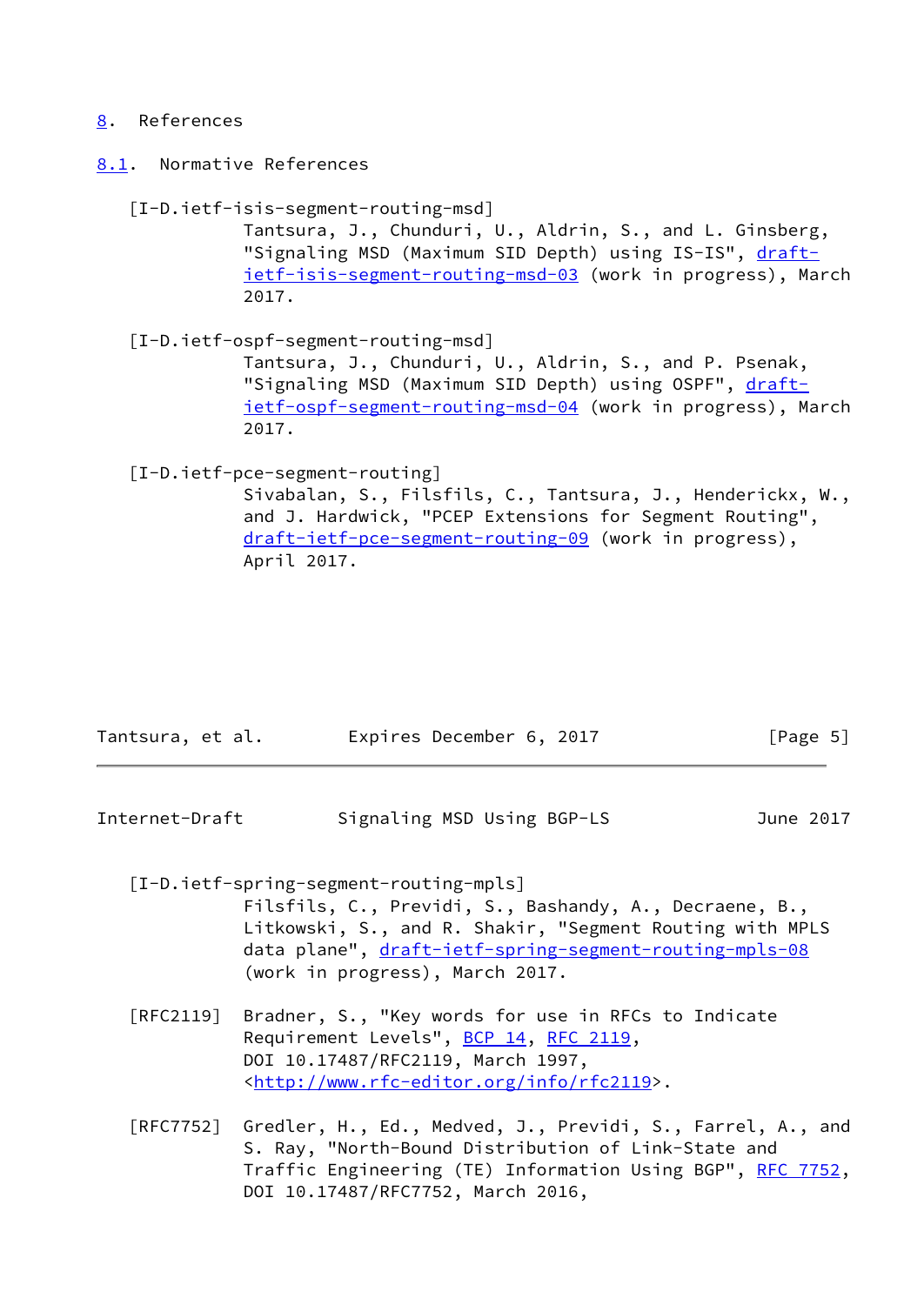#### <span id="page-5-0"></span>[8](#page-5-0). References

<span id="page-5-1"></span>[8.1](#page-5-1). Normative References

#### <span id="page-5-4"></span>[I-D.ietf-isis-segment-routing-msd]

 Tantsura, J., Chunduri, U., Aldrin, S., and L. Ginsberg, "Signaling MSD (Maximum SID Depth) using IS-IS", [draft](https://datatracker.ietf.org/doc/pdf/draft-ietf-isis-segment-routing-msd-03) [ietf-isis-segment-routing-msd-03](https://datatracker.ietf.org/doc/pdf/draft-ietf-isis-segment-routing-msd-03) (work in progress), March 2017.

 [I-D.ietf-ospf-segment-routing-msd] Tantsura, J., Chunduri, U., Aldrin, S., and P. Psenak, "Signaling MSD (Maximum SID Depth) using OSPF", [draft](https://datatracker.ietf.org/doc/pdf/draft-ietf-ospf-segment-routing-msd-04) [ietf-ospf-segment-routing-msd-04](https://datatracker.ietf.org/doc/pdf/draft-ietf-ospf-segment-routing-msd-04) (work in progress), March 2017.

## <span id="page-5-3"></span>[I-D.ietf-pce-segment-routing]

 Sivabalan, S., Filsfils, C., Tantsura, J., Henderickx, W., and J. Hardwick, "PCEP Extensions for Segment Routing", [draft-ietf-pce-segment-routing-09](https://datatracker.ietf.org/doc/pdf/draft-ietf-pce-segment-routing-09) (work in progress), April 2017.

| Tantsura, et al. | Expires December 6, 2017 | [Page 5] |
|------------------|--------------------------|----------|
|------------------|--------------------------|----------|

<span id="page-5-2"></span>Internet-Draft Signaling MSD Using BGP-LS June 2017

[I-D.ietf-spring-segment-routing-mpls]

 Filsfils, C., Previdi, S., Bashandy, A., Decraene, B., Litkowski, S., and R. Shakir, "Segment Routing with MPLS data plane", [draft-ietf-spring-segment-routing-mpls-08](https://datatracker.ietf.org/doc/pdf/draft-ietf-spring-segment-routing-mpls-08) (work in progress), March 2017.

- [RFC2119] Bradner, S., "Key words for use in RFCs to Indicate Requirement Levels", [BCP 14](https://datatracker.ietf.org/doc/pdf/bcp14), [RFC 2119](https://datatracker.ietf.org/doc/pdf/rfc2119), DOI 10.17487/RFC2119, March 1997, <<http://www.rfc-editor.org/info/rfc2119>>.
- [RFC7752] Gredler, H., Ed., Medved, J., Previdi, S., Farrel, A., and S. Ray, "North-Bound Distribution of Link-State and Traffic Engineering (TE) Information Using BGP", [RFC 7752,](https://datatracker.ietf.org/doc/pdf/rfc7752) DOI 10.17487/RFC7752, March 2016,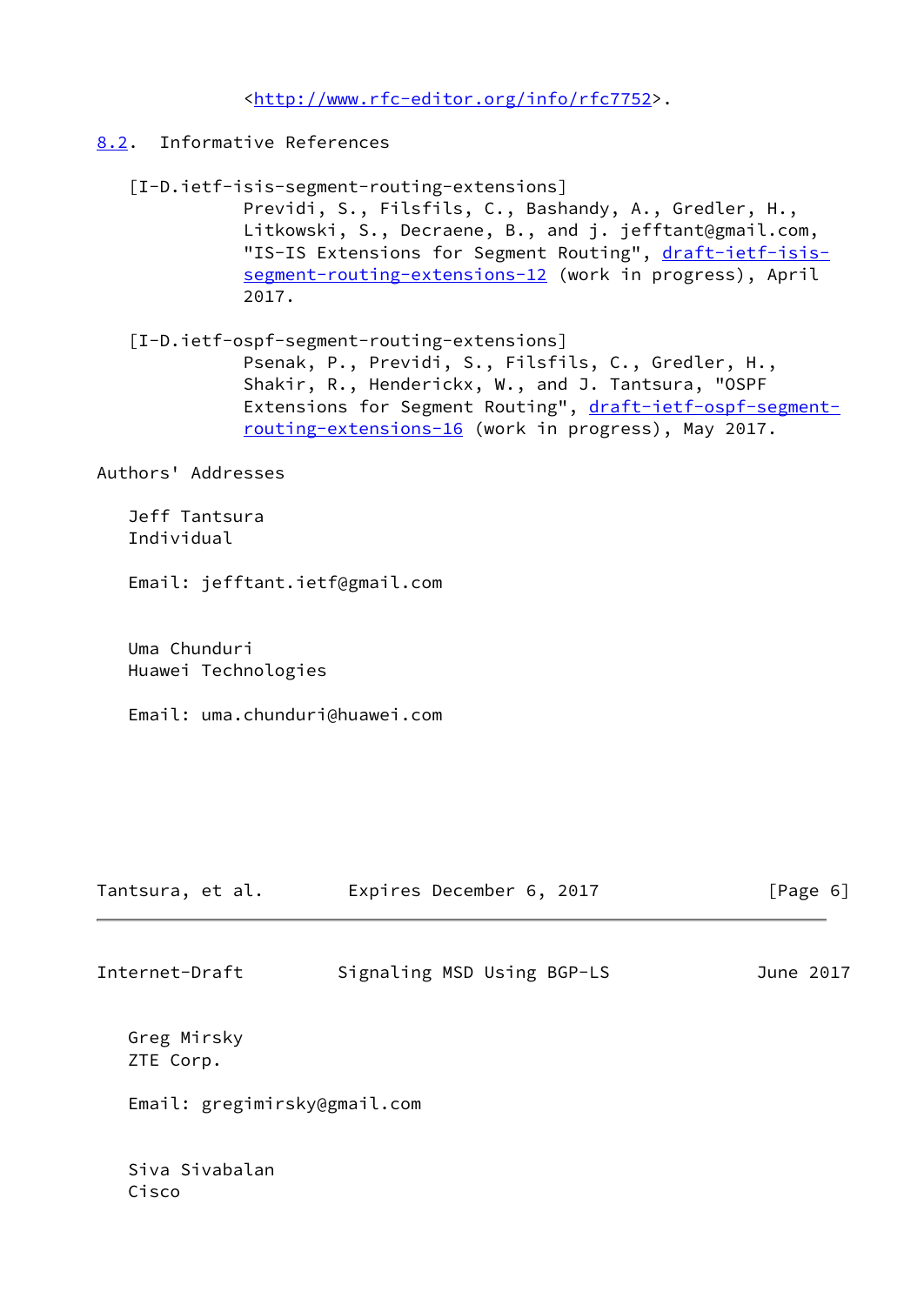<<http://www.rfc-editor.org/info/rfc7752>>.

- <span id="page-6-0"></span>[8.2](#page-6-0). Informative References
	- [I-D.ietf-isis-segment-routing-extensions] Previdi, S., Filsfils, C., Bashandy, A., Gredler, H., Litkowski, S., Decraene, B., and j. jefftant@gmail.com, "IS-IS Extensions for Segment Routing", [draft-ietf-isis](https://datatracker.ietf.org/doc/pdf/draft-ietf-isis-segment-routing-extensions-12) [segment-routing-extensions-12](https://datatracker.ietf.org/doc/pdf/draft-ietf-isis-segment-routing-extensions-12) (work in progress), April 2017.
	- [I-D.ietf-ospf-segment-routing-extensions] Psenak, P., Previdi, S., Filsfils, C., Gredler, H., Shakir, R., Henderickx, W., and J. Tantsura, "OSPF Extensions for Segment Routing", [draft-ietf-ospf-segment](https://datatracker.ietf.org/doc/pdf/draft-ietf-ospf-segment-routing-extensions-16) [routing-extensions-16](https://datatracker.ietf.org/doc/pdf/draft-ietf-ospf-segment-routing-extensions-16) (work in progress), May 2017.

Authors' Addresses

 Jeff Tantsura Individual

Email: jefftant.ietf@gmail.com

 Uma Chunduri Huawei Technologies

Email: uma.chunduri@huawei.com

| Tantsura, et al.             | Expires December 6, 2017   | [Page 6]  |
|------------------------------|----------------------------|-----------|
| Internet-Draft               | Signaling MSD Using BGP-LS | June 2017 |
| Greg Mirsky<br>ZTE Corp.     |                            |           |
| Email: gregimirsky@gmail.com |                            |           |
| Siva Sivabalan               |                            |           |

Cisco